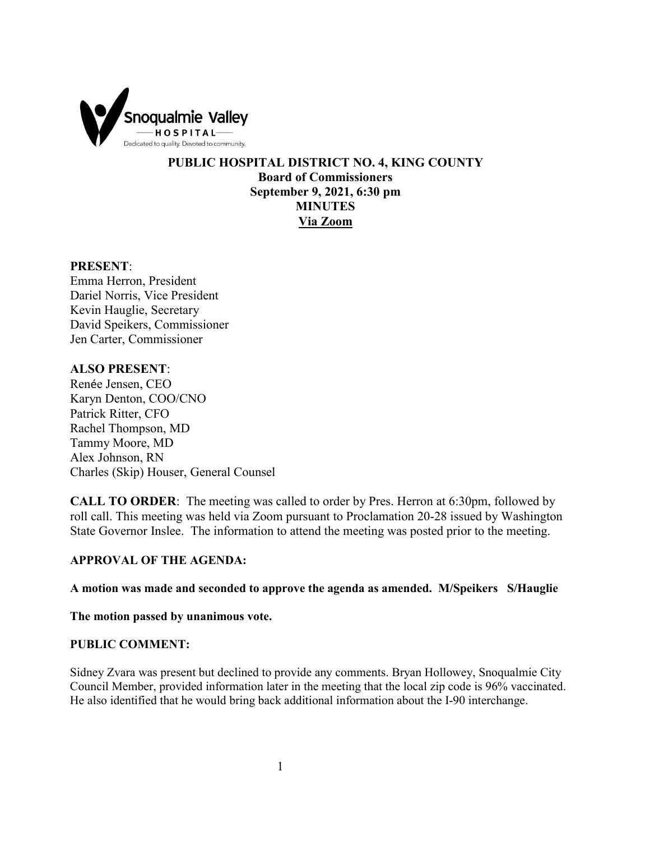

**PUBLIC HOSPITAL DISTRICT NO. 4, KING COUNTY Board of Commissioners September 9, 2021, 6:30 pm MINUTES Via Zoom**

#### **PRESENT**:

Emma Herron, President Dariel Norris, Vice President Kevin Hauglie, Secretary David Speikers, Commissioner Jen Carter, Commissioner

# **ALSO PRESENT**:

Renée Jensen, CEO Karyn Denton, COO/CNO Patrick Ritter, CFO Rachel Thompson, MD Tammy Moore, MD Alex Johnson, RN Charles (Skip) Houser, General Counsel

**CALL TO ORDER**: The meeting was called to order by Pres. Herron at 6:30pm, followed by roll call. This meeting was held via Zoom pursuant to Proclamation 20-28 issued by Washington State Governor Inslee. The information to attend the meeting was posted prior to the meeting.

## **APPROVAL OF THE AGENDA:**

**A motion was made and seconded to approve the agenda as amended. M/Speikers S/Hauglie** 

**The motion passed by unanimous vote.** 

#### **PUBLIC COMMENT:**

Sidney Zvara was present but declined to provide any comments. Bryan Hollowey, Snoqualmie City Council Member, provided information later in the meeting that the local zip code is 96% vaccinated. He also identified that he would bring back additional information about the I-90 interchange.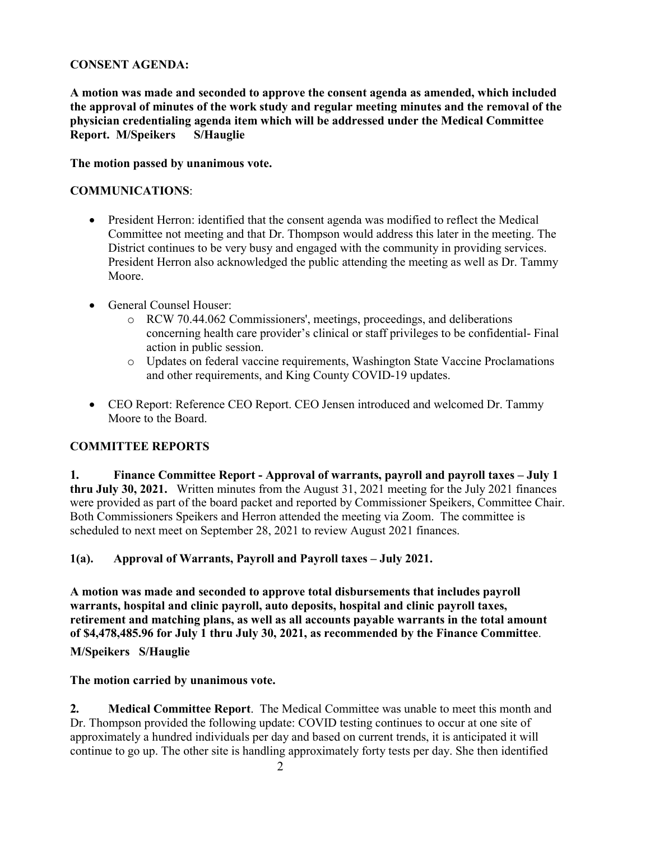# **CONSENT AGENDA:**

**A motion was made and seconded to approve the consent agenda as amended, which included the approval of minutes of the work study and regular meeting minutes and the removal of the physician credentialing agenda item which will be addressed under the Medical Committee Report. M/Speikers S/Hauglie** 

#### **The motion passed by unanimous vote.**

#### **COMMUNICATIONS**:

- President Herron: identified that the consent agenda was modified to reflect the Medical Committee not meeting and that Dr. Thompson would address this later in the meeting. The District continues to be very busy and engaged with the community in providing services. President Herron also acknowledged the public attending the meeting as well as Dr. Tammy Moore.
- General Counsel Houser:
	- o RCW 70.44.062 Commissioners', meetings, proceedings, and deliberations concerning health care provider's clinical or staff privileges to be confidential- Final action in public session.
	- o Updates on federal vaccine requirements, Washington State Vaccine Proclamations and other requirements, and King County COVID-19 updates.
- CEO Report: Reference CEO Report. CEO Jensen introduced and welcomed Dr. Tammy Moore to the Board.

## **COMMITTEE REPORTS**

**1. Finance Committee Report - Approval of warrants, payroll and payroll taxes – July 1 thru July 30, 2021.** Written minutes from the August 31, 2021 meeting for the July 2021 finances were provided as part of the board packet and reported by Commissioner Speikers, Committee Chair. Both Commissioners Speikers and Herron attended the meeting via Zoom. The committee is scheduled to next meet on September 28, 2021 to review August 2021 finances.

## **1(a). Approval of Warrants, Payroll and Payroll taxes – July 2021.**

**A motion was made and seconded to approve total disbursements that includes payroll warrants, hospital and clinic payroll, auto deposits, hospital and clinic payroll taxes, retirement and matching plans, as well as all accounts payable warrants in the total amount of \$4,478,485.96 for July 1 thru July 30, 2021, as recommended by the Finance Committee**.

**M/Speikers S/Hauglie**

**The motion carried by unanimous vote.**

**2. Medical Committee Report**. The Medical Committee was unable to meet this month and Dr. Thompson provided the following update: COVID testing continues to occur at one site of approximately a hundred individuals per day and based on current trends, it is anticipated it will continue to go up. The other site is handling approximately forty tests per day. She then identified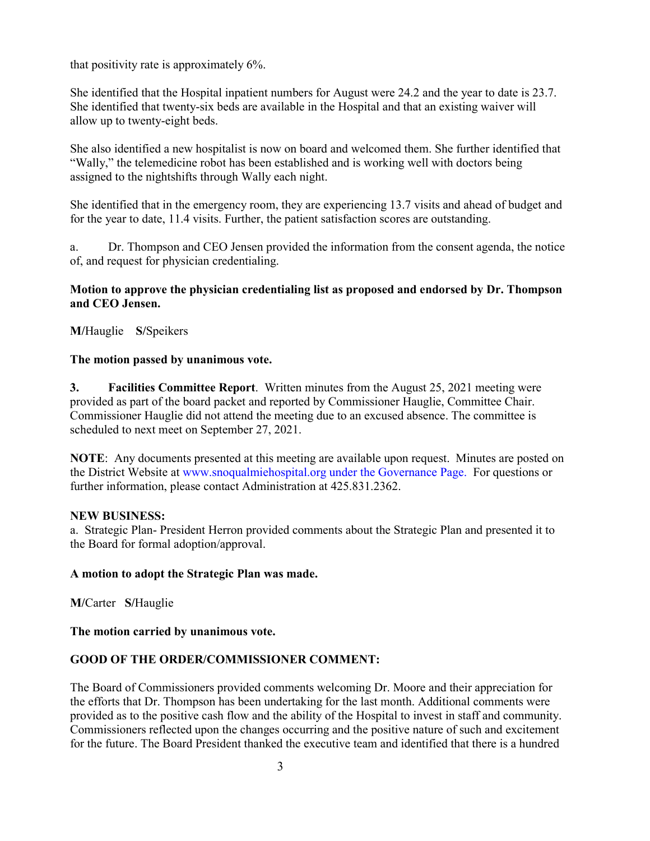that positivity rate is approximately 6%.

She identified that the Hospital inpatient numbers for August were 24.2 and the year to date is 23.7. She identified that twenty-six beds are available in the Hospital and that an existing waiver will allow up to twenty-eight beds.

She also identified a new hospitalist is now on board and welcomed them. She further identified that "Wally," the telemedicine robot has been established and is working well with doctors being assigned to the nightshifts through Wally each night.

She identified that in the emergency room, they are experiencing 13.7 visits and ahead of budget and for the year to date, 11.4 visits. Further, the patient satisfaction scores are outstanding.

a. Dr. Thompson and CEO Jensen provided the information from the consent agenda, the notice of, and request for physician credentialing.

## **Motion to approve the physician credentialing list as proposed and endorsed by Dr. Thompson and CEO Jensen.**

**M/**Hauglie **S/**Speikers

## **The motion passed by unanimous vote.**

**3. Facilities Committee Report**. Written minutes from the August 25, 2021 meeting were provided as part of the board packet and reported by Commissioner Hauglie, Committee Chair. Commissioner Hauglie did not attend the meeting due to an excused absence. The committee is scheduled to next meet on September 27, 2021.

**NOTE**: Any documents presented at this meeting are available upon request. Minutes are posted on the District Website at www.snoqualmiehospital.org under the Governance Page. For questions or further information, please contact Administration at 425.831.2362.

#### **NEW BUSINESS:**

a. Strategic Plan- President Herron provided comments about the Strategic Plan and presented it to the Board for formal adoption/approval.

## **A motion to adopt the Strategic Plan was made.**

**M/**Carter **S/**Hauglie

**The motion carried by unanimous vote.**

## **GOOD OF THE ORDER/COMMISSIONER COMMENT:**

The Board of Commissioners provided comments welcoming Dr. Moore and their appreciation for the efforts that Dr. Thompson has been undertaking for the last month. Additional comments were provided as to the positive cash flow and the ability of the Hospital to invest in staff and community. Commissioners reflected upon the changes occurring and the positive nature of such and excitement for the future. The Board President thanked the executive team and identified that there is a hundred